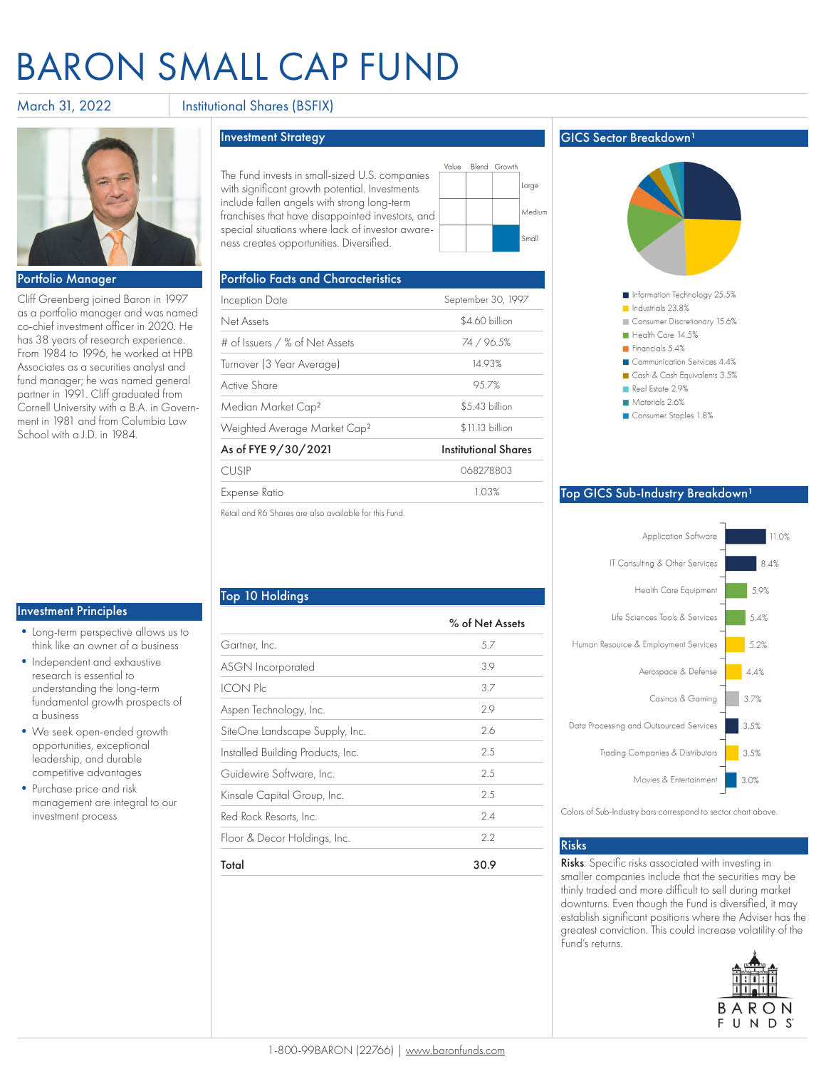# Baron Small Cap Fund

### March 31, 2022 **Institutional Shares (BSFIX)**



#### Portfolio Manager

Cliff Greenberg joined Baron in 1997 as a portfolio manager and was named co-chief investment officer in 2020. He has 38 years of research experience. From 1984 to 1996, he worked at HPB Associates as a securities analyst and fund manager; he was named general partner in 1991. Cliff graduated from Cornell University with a B.A. in Government in 1981 and from Columbia Law School with a J.D. in 1984.

#### Investment Principles

- •Long-term perspective allows us to think like an owner of a business
- •Independent and exhaustive research is essential to understanding the long-term fundamental growth prospects of a business
- •We seek open-ended growth opportunities, exceptional leadership, and durable competitive advantages
- Purchase price and risk management are integral to our investment process

Top 10 Holdings

Investment Strategy

The Fund invests in small-sized U.S. companies with significant growth potential. Investments include fallen angels with strong long-term franchises that have disappointed investors, and special situations where lack of investor awareness creates opportunities. Diversified.

| <b>Portfolio Facts and Characteristics</b>             |                             |
|--------------------------------------------------------|-----------------------------|
| Inception Date                                         | September 30, 1997          |
| Net Assets                                             | \$4.60 billion              |
| # of Issuers / % of Net Assets                         | 74 / 96.5%                  |
| Turnover (3 Year Average)                              | 14.93%                      |
| Active Share                                           | 95.7%                       |
| Median Market Cap <sup>2</sup>                         | \$5.43 billion              |
| Weighted Average Market Cap <sup>2</sup>               | \$11.13 billion             |
| As of FYE 9/30/2021                                    | <b>Institutional Shares</b> |
| <b>CUSIP</b>                                           | 068278803                   |
| Expense Ratio                                          | 1.03%                       |
| Retail and R6 Shares are also available for this Fund. |                             |

Value

Blend Growth

Large Medium **Small** 

Gartner, Inc. 5.7 ASGN Incorporated 3.9 ICON Plc 3.7 Aspen Technology, Inc. 2.9 SiteOne Landscape Supply, Inc. 2.6 Installed Building Products, Inc. 2.5 Guidewire Software, Inc. 2.5 Kinsale Capital Group, Inc. 2.5 Red Rock Resorts, Inc. 2.4 Floor & Decor Holdings, Inc. 2.2

Total 30.9

### **GICS Sector Breakdown<sup>1</sup>**



#### Top GICS Sub-Industry Breakdown<sup>1</sup>



Colors of Sub-Industry bars correspond to sector chart above.

#### Risks

% of Net Assets

Risks: Specific risks associated with investing in smaller companies include that the securities may be thinly traded and more difficult to sell during market downturns. Even though the Fund is diversified, it may establish significant positions where the Adviser has the greatest conviction. This could increase volatility of the Fund's returns.